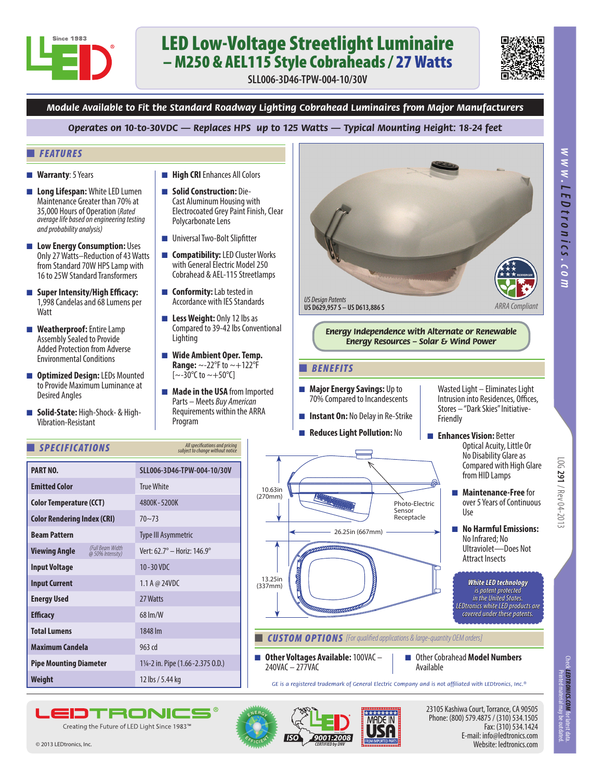

# LED Low-Voltage Streetlight Luminaire – M250 & AEL115 Style Cobraheads / 27 Watts

**SLL006-3D46-TPW-004-10/30V**



*www.*

*LEDtronics*

*.com*

*Module Available to Fit the Standard Roadway Lighting Cobrahead Luminaires from Major Manufacturers*

*Operates on 10-to-30VDC — Replaces HPS up to 125 Watts — Typical Mounting Height: 18-24 feet*

### ■ *FEATURES*

- **Warranty**: 5 Years
- Long Lifespan: White LED Lumen Maintenance Greater than 70% at 35,000 Hours of Operation (*Rated average life based on engineering testing and probability analysis)*
- Low Energy Consumption: Uses Only 27 Watts–Reduction of 43 Watts from Standard 70W HPS Lamp with 16 to 25W Standard Transformers
- **Super Intensity/High Efficacy:** 1,998 Candelas and 68 Lumens per **Watt**
- **Weatherproof:** Entire Lamp Assembly Sealed to Provide Added Protection from Adverse Environmental Conditions
- **Optimized Design:** LEDs Mounted to Provide Maximum Luminance at Desired Angles
- **Solid-State:** High-Shock- & High-Vibration-Resistant

**Emitted Color True White** 

**Color Rendering Index (CRI)** 70~73

**Energy Used** 27 Watts

**Input Current** 1.1 A @ 24VDC

*(Full Beam Width @ 50% Intensity)*

**Total Lumens** 1848 lm **Maximum Candela** 963 cd

**Efficacy** 68 lm/W

**Weight** 12 lbs / 5.44 kg

**EIDTRONK** Creating the Future of LED Light Since 1983™

**Pipe Mounting Diameter** 1¼-2 in. Pipe (1.66-2.375 O.D.)

**Beam Pattern** Type III Asymmetric

**Viewing Angle** *(Full Beam Width Vert: 62.7° – Horiz: 146.9°* 

### ■ *SPECIFICATIONS*

**Color Temperature (CCT)**

**PART NO.**

**Input Voltage**

- **High CRI** Enhances All Colors
- **Solid Construction:** Die-Cast Aluminum Housing with Electrocoated Grey Paint Finish, Clear Polycarbonate Lens
- Universal Two-Bolt Slipfitter
- **Compatibility:** LED Cluster Works with General Electric Model 250 Cobrahead & AEL-115 Streetlamps
- **Conformity:** Lab tested in Accordance with IES Standards
- Less Weight: Only 12 lbs as Compared to 39-42 lbs Conventional Lighting
- Wide Ambient Oper. Temp. **Range:** ~-22°F to ~+122°F  $[-30^{\circ}C \text{ to } -+50^{\circ}C]$
- **Made in the USA** from Imported Parts – Meets *Buy American* Requirements within the ARRA Program

*All specifications and pricing subject to change without notice*

**SLL006-3D46-TPW-004-10/30V**

4800K- 5200K

10 -30 VDC



### ■ *BENEFITS*

- **Major Energy Savings:** Up to 70% Compared to Incandescents
- **Instant On: No Delay in Re-Strike**
- **Reduces Light Pollution:** No
- 26.25in (667mm) Photo-Electric Sensor Receptacle

**CUSTOM OPTIONS** [For qualified applications & large-quantity OEM orders]

■ **Other Voltages Available:** 100VAC – 240VAC – 277VAC

13.25in (337mm)

10.63in (270mm)

> ■ Other Cobrahead **Model Numbers** Available

*GE is a registered trademark of General Electric Company and is not affiliated with LEDtronics, Inc.®*



23105 Kashiwa Court, Torrance, CA 90505 Phone: (800) 579.4875 / (310) 534.1505 Fax: (310) 534.1424 E-mail: info@ledtronics.com Website: ledtronics.com

LOG 291 / Rev 04-2013

*White LED technology is patent protected in the United States. LEDtronics white LED products are covered under these patents.*

Attract Insects

Wasted Light – Eliminates Light Intrusion into Residences, Offices, Stores – "Dark Skies" Initiative-

■ **Enhances Vision:** Better

Use

Friendly

Check *LEDTRONICS.COM f*or latest data<br>Printed material may be outdated *LEDTRONICS.COM* for latest data.  $\rm{P}(\rm{O}(\rm{1~Mpc})\times10^{29}$  /  $\rm{Npc}$  and  $\rm{291}$  /  $\rm{Npc}$  and  $\rm{291}$  /  $\rm{Npc}$  and  $\rm{291}$  /  $\rm{Npc}$  /  $\rm{Npc}$  /  $\rm{Npc}$  /  $\rm{Npc}$  /  $\rm{Npc}$  /  $\rm{Npc}$  /  $\rm{Npc}$  /  $\rm{Npc}$  /  $\rm{Npc}$  /  $\rm{Npc}$  /  $\rm{N$ 

© 2013 LEDtronics, Inc.